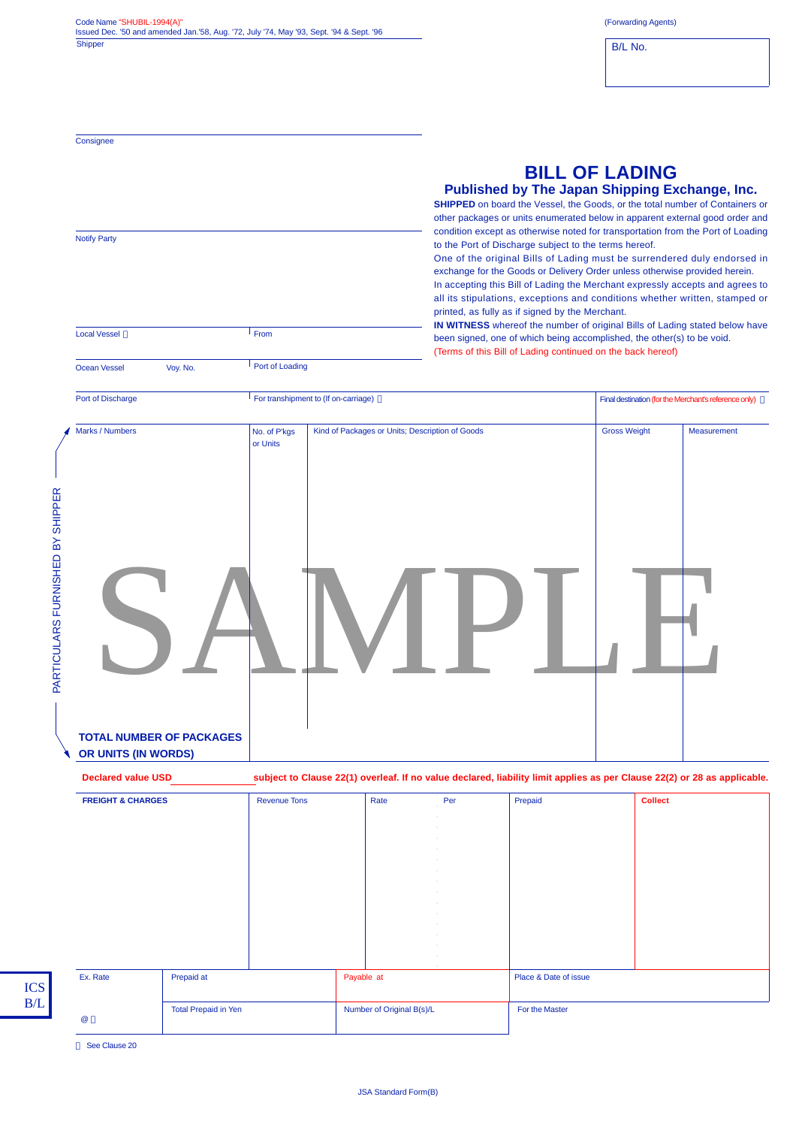| Code Name "SHUBIL-1994(A)"                                                              |  |
|-----------------------------------------------------------------------------------------|--|
| Issued Dec. '50 and amended Jan.'58, Aug. '72, July '74, May '93, Sept. '94 & Sept. '96 |  |
| <b>Shipper</b>                                                                          |  |

Port of Loading

**Consignee** 

Notify Party

Local Vessel **From** 

Ocean Vessel Voy. No.

B/L No.

|  | <b>BILL OF LADING</b> |  |  |
|--|-----------------------|--|--|
|  |                       |  |  |

## **Published by The Japan Shipping Exchange, Inc.**

**SHIPPED** on board the Vessel, the Goods, or the total number of Containers or other packages or units enumerated below in apparent external good order and condition except as otherwise noted for transportation from the Port of Loading to the Port of Discharge subject to the terms hereof.

One of the original Bills of Lading must be surrendered duly endorsed in exchange for the Goods or Delivery Order unless otherwise provided herein. In accepting this Bill of Lading the Merchant expressly accepts and agrees to

all its stipulations, exceptions and conditions whether written, stamped or printed, as fully as if signed by the Merchant. **IN WITNESS** whereof the number of original Bills of Lading stated below have

been signed, one of which being accomplished, the other(s) to be void. (Terms of this Bill of Lading continued on the back hereof)

|                                  | Port of Discharge                                      |                          | For transhipment to (If on-carriage)            | Final destination (for the Merchant's reference only) |             |  |
|----------------------------------|--------------------------------------------------------|--------------------------|-------------------------------------------------|-------------------------------------------------------|-------------|--|
|                                  | Marks / Numbers                                        | No. of P'kgs<br>or Units | Kind of Packages or Units; Description of Goods | <b>Gross Weight</b>                                   | Measurement |  |
| PARTICULARS FURNISHED BY SHIPPER |                                                        |                          |                                                 |                                                       |             |  |
|                                  | <b>TOTAL NUMBER OF PACKAGES</b><br>OR UNITS (IN WORDS) |                          |                                                 |                                                       |             |  |

| Ex. Rate                     | Prepaid at |                     | Payable at |      |     | Place & Date of issue                                                                                                    |                |  |
|------------------------------|------------|---------------------|------------|------|-----|--------------------------------------------------------------------------------------------------------------------------|----------------|--|
|                              |            |                     |            |      |     |                                                                                                                          |                |  |
|                              |            |                     |            |      |     |                                                                                                                          |                |  |
|                              |            |                     |            |      |     |                                                                                                                          |                |  |
|                              |            |                     |            |      |     |                                                                                                                          |                |  |
|                              |            |                     |            |      |     |                                                                                                                          |                |  |
|                              |            |                     |            |      |     |                                                                                                                          |                |  |
|                              |            |                     |            |      |     |                                                                                                                          |                |  |
| <b>FREIGHT &amp; CHARGES</b> |            | <b>Revenue Tons</b> |            | Rate | Per | Prepaid                                                                                                                  | <b>Collect</b> |  |
| <b>Declared value USD</b>    |            |                     |            |      |     | subject to Clause 22(1) overleaf. If no value declared, liability limit applies as per Clause 22(2) or 28 as applicable. |                |  |
|                              |            |                     |            |      |     |                                                                                                                          |                |  |

For the Master

See Clause 20

@

Total Prepaid in Yen

Number of Original B(s)/L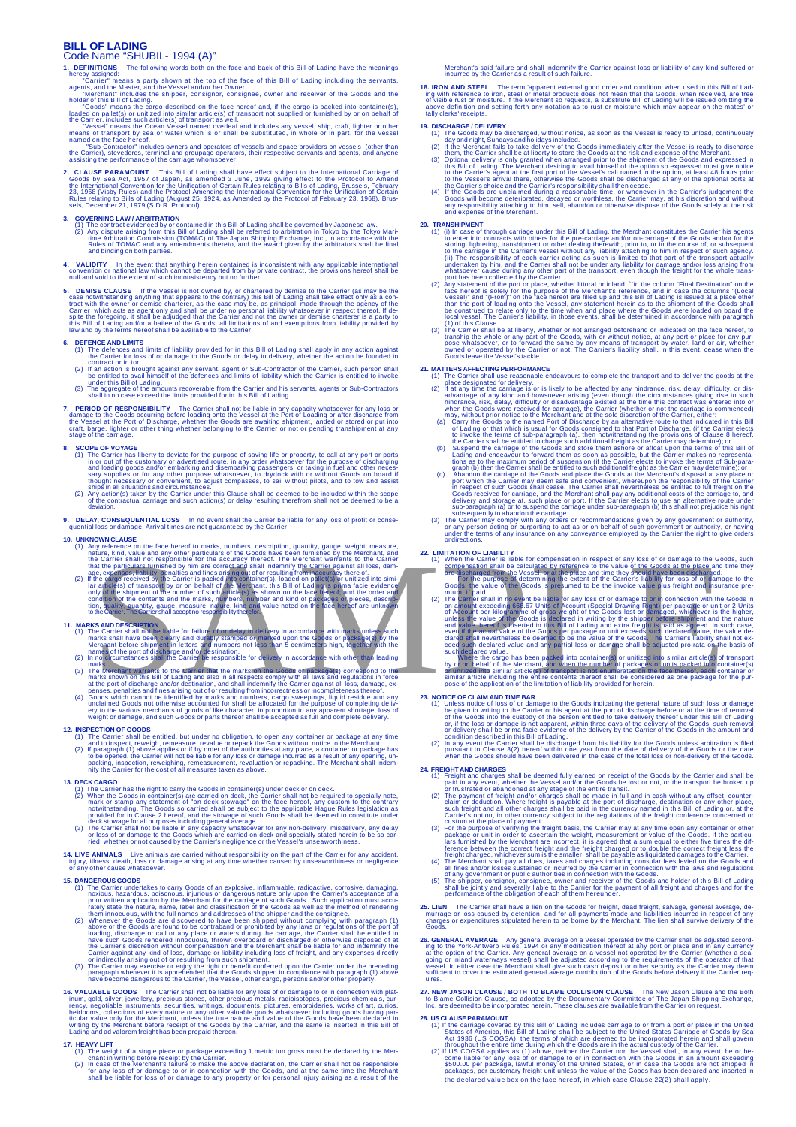### **BILL OF LADING**<br>Code Name "SHLI "SHUBIL- 1994 (A)"

- **1. DEFINITIONS** The following words both on the face and back of this Bill of Lading have the meanings hereby assigned:<br>"Carrier" means a party shown at the top of the face of this Bill of Lading including the servants,<br>agents, and the Master, and the Vessel and/or her Owner.<br>"Merchant" includes the shipper, consignor, cons
- 
- 
- holder of this Bill of Lading.<br>Coods' means the cargo described on the face hereof and, if the cargo is packed into container(s),<br>loaded on pallet(s) or unitized into similar article(s) of transport not supplied or furnish
- 2. CLAUSE PARAMOUNT This Bill of Lading shall have effect subject to the International Carriage of Goods by Sea Act, 1957 of Japan, as amended 3 June, 1992 giving effect to the Protocol to Amend<br>The International Conventio

### **3. GOVERNING LAW / ARBITRATION**

- (1) The contract evidenced by or contained in this Bill of Lading shall be governed by Japanese law.<br>(2) Any dispute arising from this Bill of Lading shall be referred to arbitration in Tokyo by the Tokyo Mari-<br>time Arbitr
- 4. VALIDITY In the event that anything herein contained is inconsistent with any applicable international<br>convention or national law which cannot be departed from by private contract, the provisions hereof shall be<br>null an
- 5. DEMISE CLAUSE If the Vesels is not owned by, or chartered by demise to the Carrier (as may be the<br>case notwithstanding anything that appears to the contrary) this Bill of Lading shall take effect only as a con-<br>tract w

### **6. DEFENCE AND LIMITS**

- 
- (1) The defences and limits of liability provided for in this Bill of Lading shall apply in any action against<br>the Carrier for loss of or damage to the Goods or delay in delivery, whether the action be founded in<br>contract
- 
- **7. PERIOD OF RESPONSIBILITY** The Carrier shall not be liable in any capacity whatsoever for any loss or<br>denage to the Goods occurring before loading onto the Vessel at the Port of Loading or after discharge from<br>the Vesse

- **8. SCOPE OF VOYAGE** (1) The Carrier has liberty to deviate for the purpose of saving life or property, to call at any port or ports (1) The Carrier has liberty to deviate for the purpose of sicharging and an and backleri
	-
- **9. DELAY, CONSEQUENTIAL LOSS** In no event shall the Carrier be liable for any loss of profit or conse-quential loss or damage. Arrival times are not guaranteed by the Carrier.

- 
- 

- 11. MARKS AND DESCRIPTION<br>(1) The Carrier shall not be liable for failure of or delay in delivery in accordance with marks unless such<br>marks shall have been clearly and durably stamped on marked upon the Goods or package (
- 
- The Merchant warrants to the Carrier that the marks on the Goods or package(s) correspond to the<br>marks shown on this Bill of Lading and also in all respects comply with all laws and regulations in force<br>at the port of disc
- 
- 12. INSPECTION OF GOODS<br>
(1) The Carrier shall be entitled, but under no obligation, to open any container or package at any time<br>
and to inspect, reweigh, remeasure, revalue or repack the Goods without notice to the Merch

### **13. DECK CARGO**

- (1) The Carrier has the right to carry the Goods in container(s) under deck or on deck, the Carrier shall not be required to specially note,  $(2)$  When the Goods in container(s) are carried on deck, the Carrier shall not
- 

# 14. LIVE ANIMALS Live animals are carried without responsibility on the part of the Carrier for any accident,<br>injury, illness, death, loss or damage arising at any time whether caused by unseaworthiness or negligence<br>or an

### **15. DANGEROUS GOODS**

- 
- (1) The Carrier undertakes to carry Goods of an explosive, inflammable, radioactive, corrosive, damaging, noticed in the term is considered and the security witten application by the Merchant for the carriers acceptance o
- 

**16. VALUABLE GOODS** The Carrier shall not be liable for any loss of or damage to or in comection with plat-<br>inum, gold, silver, jewellery, precious stones, other precious metals, radioisotopes, precious chemicals, cur-<br>re

### **17. HEAVY LIFT**

(1) The weight of a single piece or package exceeding 1 metric ton gross must be declared by the Mer-<br>chant in writing before receipt by the Carrier shall not be the metric in case of the Merchant's failure to make the abo

Merchant's said failure and shall indemnify the Carrier against loss or liability of any kind suffered or incurred by the Carrier as a result of such failure.

**18. IRON AND STEEL** The term 'apparent external good order and condition' when used in this Bill of Lad-<br>ing with reference to iron, steel or metal products does not mean that the Goods, when received, are free<br>of visible

- **19. DISCHARGE / DELIVERY** (1) The Goods may be discharged, without notice, as soon as the Vessel is ready to unload, continuously day and night, Sundays and holidays included.
	- (2) If the Merchant fails to take delivery of the Goods immediately after the Vessel is ready to discharge<br>them, the Carrier shall be at liberty to store the Goods at the risk and expense of the Merchant.<br>(3) Optional deli
	- (4) If the Goods are unclaimed during a reasonable time, or whenever in the Carrier's judgement the<br>Goods will become deteriorated, decayed or worthless, the Carrier may, at his discretion and without<br>any responsibility at

- 20. **TRANSHIPMENT**<br>
(1) (In case of through carriage under this Bill of Lading, the Merchant constitutes the Carrier his agents<br>
(1) (I) In case of through carriage under this Bill of Lading, the Merchant constraige of th
	-
	- (3) The Carrier shall be at liberty, whether or not arranged beforehand or indicated on the face hereof, to tranship the whole or any part of the Goods, with or without notice, at any port or place for any pur-<br>onese whats

### **21. MATTERS AFFECTING PERFORMANCE**

- 
- 
- 
- 
- (1) The Carrier shall use reasonable endeavours to complete the transport and to deliver the goods at the place designated for delivery.<br>
(2) If at any time the carriage is or is likely to be affected by any hindrance, ri
- 

### **22. LIMITATION OF LIABILITY**

| <b>10. UNKNOWN CLAUSE</b>                                                                                                                                                                                                                                                                                                                                                                                                                      | or directions.                                                                                                                                                                                                                                                                                                                                                                                                              |
|------------------------------------------------------------------------------------------------------------------------------------------------------------------------------------------------------------------------------------------------------------------------------------------------------------------------------------------------------------------------------------------------------------------------------------------------|-----------------------------------------------------------------------------------------------------------------------------------------------------------------------------------------------------------------------------------------------------------------------------------------------------------------------------------------------------------------------------------------------------------------------------|
| (1) Any reference on the face hereof to marks, numbers, description, quantity, gauge, weight, measure,<br>nature, kind, value and any other particulars of the Goods have been furnished by the Merchant, and<br>the Carrier shall not responsible for the accuracy thereof. The Merchant warrants to the Carrier<br>that the particulars furnished by him are correct and shall indemnify the Carrier against all loss, dam-                  | <b>22. LIMITATION OF LIABILITY</b><br>(1) When the Carrier is liable for compensation in respect of any loss of or damage to the Goods, such<br>compensation shall be calculated by reference to the value of the Goods at the place and time they                                                                                                                                                                          |
| age, expenses, liability, penalties and fines arising out of or resulting from inaccuracy there of.<br>If the cargo received by the Carrier is packed into container(s), loaded on pallet(s) or unitized into simi-<br>(2)<br>lar article(s) of transport by or on behalf of the Merchant, this Bill of Lading is prima facie evidence<br>only of the shipment of the number of such article(s) as shown on the face hereof; and the order and | are discharged from the Vessel, or at the place and time they should have been discharged.<br>For the purpose of determining the extent of the Carrier's liability for loss of or damage to the<br>Goods, the value of the Goods is presumed to be the invoice value plus freight and insurance pre-<br>mium, if paid.                                                                                                      |
| condition of the contents and the marks, numbers, number and kind of packages of pieces, descrip-<br>tion, quality, quantity, gauge, measure, nature, kind and value noted on the face hereof are unknown<br>to the Carrier. The Carrier shall accept no responsibility therefor.                                                                                                                                                              | (2) The Carrier shall in no event be liable for any loss of or damage to or in connection with the Goods in<br>an amount exceeding 666.67 Units of Account (Special Drawing Right) per package or unit or 2 Units<br>of Account per kilogramme of gross weight of the Goods lost or damaged, whichever is the higher,<br>unless the value of the Goods is declared in writing by the shipper before shipment and the nature |
| <b>11. MARKS AND DESCRIPTION</b>                                                                                                                                                                                                                                                                                                                                                                                                               | and value thereof is inserted in this Bill of Lading and extra freight is paid as agreed. In such case,                                                                                                                                                                                                                                                                                                                     |
| (1) The Carrier shall not be liable for failure of or delay in delivery in accordance with marks unless such<br>marks shall have been clearly and durably stamped or marked upon the Goods or package(s) by the<br>Merchant before shipment in letters and numbers not less than 5 centimeters high, together with the<br>names of the port of discharge and/or destination.                                                                   | even if the actual value of the Goods per package or unit exceeds such declared value, the value de-<br>clared shall nevertheless be deemed to be the value of the Goods. The Carrier's liability shall not ex-<br>ceed such declared value and any partial loss or damage shall be adjusted pro rata on the basis of<br>such declared value.                                                                               |
| (2) In no circumstances shall the Carrier be responsible for delivery in accordance with other than leading<br>marks.                                                                                                                                                                                                                                                                                                                          | Where the cargo has been packed into container(s) or unitized into similar article(s) of transport<br>by or on behalf of the Merchant, and when the number of packages or units packed into container(s)                                                                                                                                                                                                                    |
| The Merchant warrants to the Carrier that the marks on the Goods or package(s) correspond to the<br>(3)<br>marks shown on this Bill of Lading and also in all respects comply with all laws and regulations in force                                                                                                                                                                                                                           | or unitized into similar article(s) of transport is not enumerated on the face thereof, each container or<br>similar article including the entire contents thereof shall be considered as one package for the pur-                                                                                                                                                                                                          |
| at the port of discharge and/or destination, and shall indemnify the Carrier against all loss, damage, ex-<br>penses, penalties and fines arising out of or resulting from incorrectness or incompleteness thereof.                                                                                                                                                                                                                            | pose of the application of the limitation of liability provided for herein.                                                                                                                                                                                                                                                                                                                                                 |
| Goods which cannot be identified by marks and numbers, cargo sweepings, liquid residue and any<br>(4)                                                                                                                                                                                                                                                                                                                                          | <b>23. NOTICE OF CLAIM AND TIME BAR</b>                                                                                                                                                                                                                                                                                                                                                                                     |
| unclaimed Goods not otherwise accounted for shall he allocated for the nurnose of completing deliv-                                                                                                                                                                                                                                                                                                                                            | (1) Unlass potice of loss of or damage to the Goods indicating the general pature of such loss or damage                                                                                                                                                                                                                                                                                                                    |

### **23. NOTICE OF CLAIM AND TIME BAR**

- (1) Unless notice of loss of or damage to the Goods indicating the general nature of such loss or damages be given in writing to the Carrier or his agent at the port of discharge before or at the time of removal<br>of the Goo
- 

- **24. FREIGHT AND CHARGES**<br> **EXENCITY AND CHARGES** shall be deemed fully earned on receipt of the Goods by the Carrier and shall be<br>
(1) Freight and charges shall be deemed fully earned on receipt of the Goods by the Carrie
	-
	-
	-

# **25. LIEN** The Carrier shall have a lien on the Goods for freight, dead freight, salvage, general average, demurrage or loss caused by detention, and for all payments made and liabilities incurred in respect of any charges or expenditures stipulated herein to be borne by the Merchant. The lien shall survive delivery of the Goods.

- 26. GENERAL AVERAGE Any general average on a Vessel operated by the Carrier shall be adjusted according to the York-Antwerp Rules, 1994 or any modification thereof at any port or place and in any currency at the option of
- 27. NEW JASON CLAUSE / BOTH TO BLAME COLLISION CLAUSE The New Jason Clause and the Both<br>to Blame Collision Clause, as adopted by the Documentary Committee of The Japan Shipping Exchange,<br>Inc. are deemed to be incorporated

- 
- **28. US CLAUSE PARAMOUNT**<br>
(1) If the carriage covered by this Bill of Lading includes carriage to or from a port or place in the United States of America, this Bill of Lading shall be subject to the United States of Acod